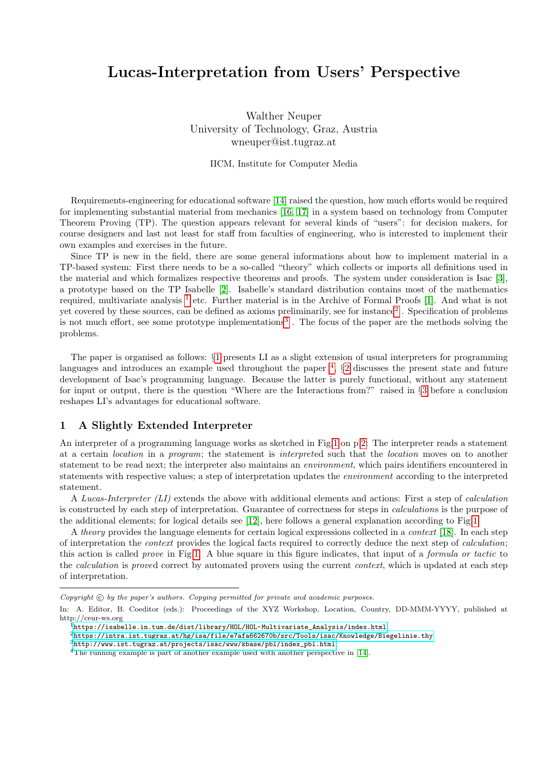# Lucas-Interpretation from Users' Perspective

Walther Neuper University of Technology, Graz, Austria wneuper@ist.tugraz.at

IICM, Institute for Computer Media

Requirements-engineering for educational software [\[14\]](#page-5-0) raised the question, how much efforts would be required for implementing substantial material from mechanics [\[16,](#page-5-1) [17\]](#page-5-2) in a system based on technology from Computer Theorem Proving (TP). The question appears relevant for several kinds of "users": for decision makers, for course designers and last not least for staff from faculties of engineering, who is interested to implement their own examples and exercises in the future.

Since TP is new in the field, there are some general informations about how to implement material in a TP-based system: First there needs to be a so-called "theory" which collects or imports all definitions used in the material and which formalizes respective theorems and proofs. The system under consideration is Isac [\[3\]](#page-4-0), a prototype based on the TP Isabelle [\[2\]](#page-4-1). Isabelle's standard distribution contains most of the mathematics required, multivariate analysis <sup>[1](#page-0-0)</sup> etc. Further material is in the Archive of Formal Proofs [\[1\]](#page-4-2). And what is not yet covered by these sources, can be defined as axioms preliminarily, see for instance<sup>[2](#page-0-1)</sup>. Specification of problems is not much effort, see some prototype implementations<sup>[3](#page-0-2)</sup>. The focus of the paper are the methods solving the problems.

The paper is organised as follows: §[1](#page-0-3) presents LI as a slight extension of usual interpreters for programming languages and introduces an example used throughout the paper<sup>[4](#page-0-4)</sup>,  $\S2$  $\S2$  discusses the present state and future development of Isac's programming language. Because the latter is purely functional, without any statement for input or output, there is the question "Where are the Interactions from?" raised in §[3](#page-2-0) before a conclusion reshapes LI's advantages for educational software.

### <span id="page-0-3"></span>1 A Slightly Extended Interpreter

An interpreter of a programming language works as sketched in Fig[.1](#page-1-1) on p[.2:](#page-1-1) The interpreter reads a statement at a certain location in a program; the statement is interpreted such that the location moves on to another statement to be read next; the interpreter also maintains an environment, which pairs identifiers encountered in statements with respective values; a step of interpretation updates the environment according to the interpreted statement.

A Lucas-Interpreter (LI) extends the above with additional elements and actions: First a step of calculation is constructed by each step of interpretation. Guarantee of correctness for steps in calculations is the purpose of the additional elements; for logical details see [\[12\]](#page-4-3), here follows a general explanation according to Fig[.1:](#page-1-1)

A *theory* provides the language elements for certain logical expressions collected in a *context* [\[18\]](#page-5-3). In each step of interpretation the context provides the logical facts required to correctly deduce the next step of calculation; this action is called prove in Fig[.1.](#page-1-1) A blue square in this figure indicates, that input of a formula or tactic to the *calculation* is proved correct by automated provers using the current *context*, which is updated at each step of interpretation.

<span id="page-0-0"></span> $1$ https://isabelle.in.tum.de/dist/library/HOL/HOL-Multivariate Analysis/index.html

 $Copyright$   $\odot$  by the paper's authors. Copying permitted for private and academic purposes.

In: A. Editor, B. Coeditor (eds.): Proceedings of the XYZ Workshop, Location, Country, DD-MMM-YYYY, published at http://ceur-ws.org

<span id="page-0-1"></span> $2$ <https://intra.ist.tugraz.at/hg/isa/file/e7afa662670b/src/Tools/isac/Knowledge/Biegelinie.thy>

<span id="page-0-2"></span> $3$ [http://www.ist.tugraz.at/projects/isac/www/kbase/pbl/index\\_pbl.html](http://www.ist.tugraz.at/projects/isac/www/kbase/pbl/index_pbl.html)

<span id="page-0-4"></span><sup>&</sup>lt;sup>4</sup>The running example is part of another example used with another perspective in [\[14\]](#page-5-0).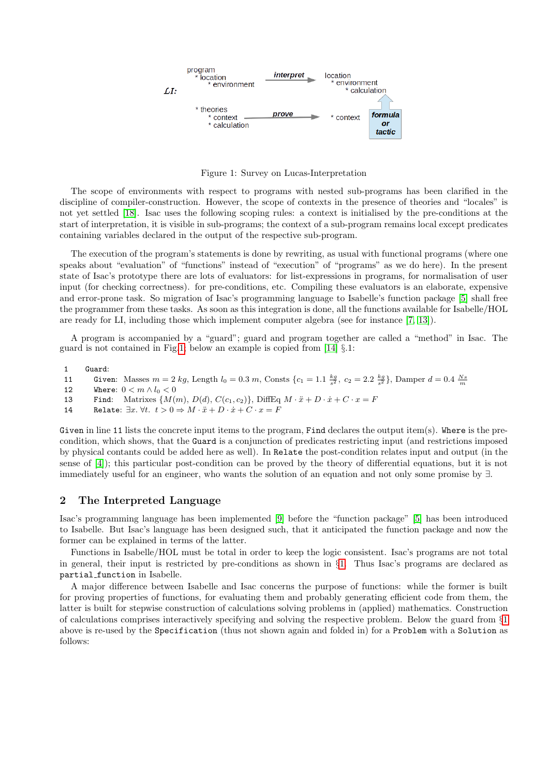

<span id="page-1-1"></span>Figure 1: Survey on Lucas-Interpretation

The scope of environments with respect to programs with nested sub-programs has been clarified in the discipline of compiler-construction. However, the scope of contexts in the presence of theories and "locales" is not yet settled [\[18\]](#page-5-3). Isac uses the following scoping rules: a context is initialised by the pre-conditions at the start of interpretation, it is visible in sub-programs; the context of a sub-program remains local except predicates containing variables declared in the output of the respective sub-program.

The execution of the program's statements is done by rewriting, as usual with functional programs (where one speaks about "evaluation" of "functions" instead of "execution" of "programs" as we do here). In the present state of Isac's prototype there are lots of evaluators: for list-expressions in programs, for normalisation of user input (for checking correctness). for pre-conditions, etc. Compiling these evaluators is an elaborate, expensive and error-prone task. So migration of Isac's programming language to Isabelle's function package [\[5\]](#page-4-4) shall free the programmer from these tasks. As soon as this integration is done, all the functions available for Isabelle/HOL are ready for LI, including those which implement computer algebra (see for instance [\[7,](#page-4-5) [13\]](#page-4-6)).

A program is accompanied by a "guard"; guard and program together are called a "method" in Isac. The guard is not contained in Fig[.1;](#page-1-1) below an example is copied from [\[14\]](#page-5-0) §.1:

1 Guard:

```
11 Given: Masses m = 2 kg, Length l_0 = 0.3 m, Consts \{c_1 = 1.1 \frac{kg}{s^2}, c_2 = 2.2 \frac{kg}{s^2}\}, Damper d = 0.4 \frac{Ns}{m}
```

```
12 Where: 0 < m \wedge l_0 < 0
```
13 Find: Matrixes  $\{M(m), D(d), C(c_1, c_2)\}\$ , DiffEq  $M \cdot \ddot{x} + D \cdot \dot{x} + C \cdot x = F$ 

14 Relate:  $\exists x. \forall t. \ t > 0 \Rightarrow M \cdot \ddot{x} + D \cdot \dot{x} + C \cdot x = F$ 

Given in line 11 lists the concrete input items to the program, Find declares the output item(s). Where is the precondition, which shows, that the Guard is a conjunction of predicates restricting input (and restrictions imposed by physical contants could be added here as well). In Relate the post-condition relates input and output (in the sense of [\[4\]](#page-4-7)); this particular post-condition can be proved by the theory of differential equations, but it is not immediately useful for an engineer, who wants the solution of an equation and not only some promise by ∃.

### <span id="page-1-0"></span>2 The Interpreted Language

Isac's programming language has been implemented [\[9\]](#page-4-8) before the "function package" [\[5\]](#page-4-4) has been introduced to Isabelle. But Isac's language has been designed such, that it anticipated the function package and now the former can be explained in terms of the latter.

Functions in Isabelle/HOL must be total in order to keep the logic consistent. Isac's programs are not total in general, their input is restricted by pre-conditions as shown in §[1.](#page-0-3) Thus Isac's programs are declared as partial function in Isabelle.

A major difference between Isabelle and Isac concerns the purpose of functions: while the former is built for proving properties of functions, for evaluating them and probably generating efficient code from them, the latter is built for stepwise construction of calculations solving problems in (applied) mathematics. Construction of calculations comprises interactively specifying and solving the respective problem. Below the guard from §[1](#page-0-3) above is re-used by the Specification (thus not shown again and folded in) for a Problem with a Solution as follows: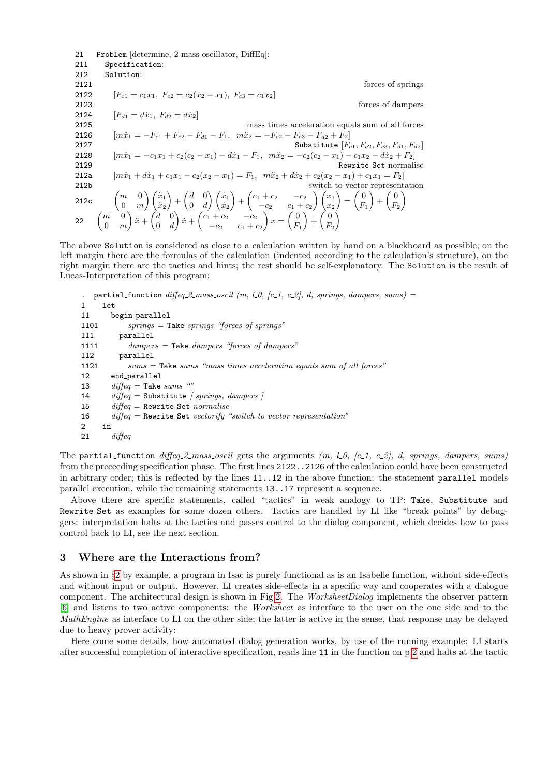21 Problem [determine, 2-mass-oscillator, DiffEq]: 211 Specification: 212 Solution: 2121 forces of springs 2122  $[F_{c1} = c_1x_1, F_{c2} = c_2(x_2 - x_1), F_{c3} = c_1x_2]$ 2123 forces of dampers 2124  $[F_{d1} = d\dot{x}_1, F_{d2} = d\dot{x}_2]$ 2125 mass times acceleration equals sum of all forces 2126  $[m\ddot{x}_1 = -F_{c1} + F_{c2} - F_{d1} - F_1, m\ddot{x}_2 = -F_{c2} - F_{c3} - F_{d2} + F_2]$ 2127 Substitute  $[F_{c1}, F_{c2}, F_{c3}, F_{d1}, F_{d2}]$ 2128  $[m\ddot{x}_1 = -c_1x_1 + c_2(c_2 - x_1) - d\dot{x}_1 - F_1, m\ddot{x}_2 = -c_2(c_2 - x_1) - c_1x_2 - d\dot{x}_2 + F_2]$ 2129 Rewrite Set normalise 212a  $[m\ddot{x}_1 + d\dot{x}_1 + c_1x_1 - c_2(x_2 - x_1) = F_1, m\ddot{x}_2 + d\dot{x}_2 + c_2(x_2 - x_1) + c_1x_1 = F_2]$ 212b switch to vector representation 212c  $\begin{pmatrix} m & 0 \\ 0 & m \end{pmatrix}$ 0 m  $\setminus (\ddot{x}_1)$  $\ddot{x}_2$  $\bigg) + \bigg(\begin{matrix} d & 0 \\ 0 & d \end{matrix}\bigg)$  $0 \quad d$  $\setminus$   $\bigl(x_1$  $\dot{x}_2$  $+$  $\binom{c_1 + c_2}{c_1 + c_2}$  $-c_2$   $c_1 + c_2$  $\bigwedge$   $(x_1$  $\overline{x_2}$  $=\left(\begin{array}{c} 0 \\ 0 \end{array}\right)$  $F_1$  $+\left(\begin{matrix} 0 \\ E \end{matrix}\right)$  $F<sub>2</sub>$  $\setminus$ 22  $\begin{pmatrix} m & 0 \\ 0 & m \end{pmatrix}$ 0 m  $\bigg\}\ddot{x}+\left(\begin{matrix}d&0\0&1\end{matrix}\right)$  $0 \quad d$  $\int x + \begin{pmatrix} c_1 + c_2 & -c_2 \end{pmatrix}$  $-c_2$   $c_1 + c_2$  $x = \begin{pmatrix} 0 \\ 0 \end{pmatrix}$  $F_1$  $+\Big(\frac{0}{E}\Big)$  $F<sub>2</sub>$  $\setminus$ 

The above Solution is considered as close to a calculation written by hand on a blackboard as possible; on the left margin there are the formulas of the calculation (indented according to the calculation's structure), on the right margin there are the tactics and hints; the rest should be self-explanatory. The Solution is the result of Lucas-Interpretation of this program:

```
. partial function diffeq 2-mass oscil (m, l.0, [c_1, c_2], d, springs, dampers, sums) =
1 let
11 begin parallel
1101 springs = Take springs "forces of springs"111 parallel
1111 dampers = Take dampers "forces of dampers"
112 parallel
1121 sums = Take sums "mass times acceleration equals sum of all forces"
12 end parallel
13 \textit{diffeq} = \text{Take sums} "
14 diffeq = Substitute [ springs, dampers ]
15 diffeq = Rewrite Set normalise
16 diffeq = Rewrite Set vectorify "switch to vector representation"
2 in
21 \qquad diffeq
```
The partial function  $\text{diffeq-2-mass-oscil}$  gets the arguments  $(m, l.0, [c.1, c.2], d, springs, dampers, sums)$ from the preceeding specification phase. The first lines 2122..2126 of the calculation could have been constructed in arbitrary order; this is reflected by the lines 11..12 in the above function: the statement parallel models parallel execution, while the remaining statements 13..17 represent a sequence.

Above there are specific statements, called "tactics" in weak analogy to TP: Take, Substitute and Rewrite Set as examples for some dozen others. Tactics are handled by LI like "break points" by debuggers: interpretation halts at the tactics and passes control to the dialog component, which decides how to pass control back to LI, see the next section.

#### <span id="page-2-0"></span>3 Where are the Interactions from?

As shown in §[2](#page-1-0) by example, a program in Isac is purely functional as is an Isabelle function, without side-effects and without input or output. However, LI creates side-effects in a specific way and cooperates with a dialogue component. The architectural design is shown in Fig[.2.](#page-3-0) The WorksheetDialog implements the observer pattern [\[6\]](#page-4-9) and listens to two active components: the Worksheet as interface to the user on the one side and to the MathEngine as interface to LI on the other side; the latter is active in the sense, that response may be delayed due to heavy prover activity:

Here come some details, how automated dialog generation works, by use of the running example: LI starts after successful completion of interactive specification, reads line 11 in the function on p[.2](#page-1-0) and halts at the tactic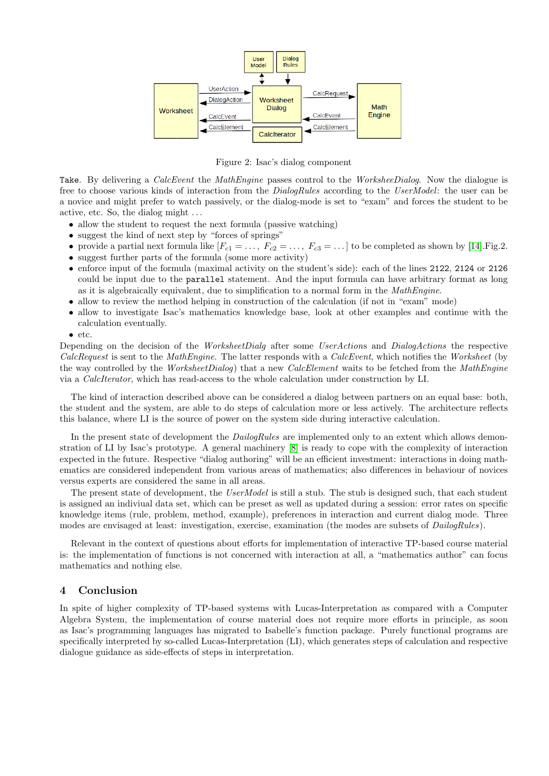

<span id="page-3-0"></span>Figure 2: Isac's dialog component

Take. By delivering a *CalcEvent* the *MathEngine* passes control to the *WorksheeDialog*. Now the dialogue is free to choose various kinds of interaction from the DialogRules according to the UserModel: the user can be a novice and might prefer to watch passively, or the dialog-mode is set to "exam" and forces the student to be active, etc. So, the dialog might . . .

- allow the student to request the next formula (passive watching)
- suggest the kind of next step by "forces of springs"
- provide a partial next formula like  $[F_{c1} = \ldots, F_{c2} = \ldots, F_{c3} = \ldots]$  to be completed as shown by [\[14\]](#page-5-0). Fig. 2.
- suggest further parts of the formula (some more activity)
- enforce input of the formula (maximal activity on the student's side): each of the lines 2122, 2124 or 2126 could be input due to the parallel statement. And the input formula can have arbitrary format as long as it is algebraically equivalent, due to simplification to a normal form in the MathEngine.
- allow to review the method helping in construction of the calculation (if not in "exam" mode)
- allow to investigate Isac's mathematics knowledge base, look at other examples and continue with the calculation eventually.
- etc.

Depending on the decision of the WorksheetDialg after some UserActions and DialogActions the respective CalcRequest is sent to the MathEngine. The latter responds with a CalcEvent, which notifies the Worksheet (by the way controlled by the WorksheetDialog) that a new CalcElement waits to be fetched from the MathEngine via a CalcIterator, which has read-access to the whole calculation under construction by LI.

The kind of interaction described above can be considered a dialog between partners on an equal base: both, the student and the system, are able to do steps of calculation more or less actively. The architecture reflects this balance, where LI is the source of power on the system side during interactive calculation.

In the present state of development the *DailogRules* are implemented only to an extent which allows demonstration of LI by Isac's prototype. A general machinery [\[8\]](#page-4-10) is ready to cope with the complexity of interaction expected in the future. Respective "dialog authoring" will be an efficient investment: interactions in doing mathematics are considered independent from various areas of mathematics; also differences in behaviour of novices versus experts are considered the same in all areas.

The present state of development, the UserModel is still a stub. The stub is designed such, that each student is assigned an indiviual data set, which can be preset as well as updated during a session: error rates on specific knowledge items (rule, problem, method, example), preferences in interaction and current dialog mode. Three modes are envisaged at least: investigation, exercise, examination (the modes are subsets of  $DailyRules$ ).

Relevant in the context of questions about efforts for implementation of interactive TP-based course material is: the implementation of functions is not concerned with interaction at all, a "mathematics author" can focus mathematics and nothing else.

## 4 Conclusion

In spite of higher complexity of TP-based systems with Lucas-Interpretation as compared with a Computer Algebra System, the implementation of course material does not require more efforts in principle, as soon as Isac's programming languages has migrated to Isabelle's function package. Purely functional programs are specifically interpreted by so-called Lucas-Interpretation (LI), which generates steps of calculation and respective dialogue guidance as side-effects of steps in interpretation.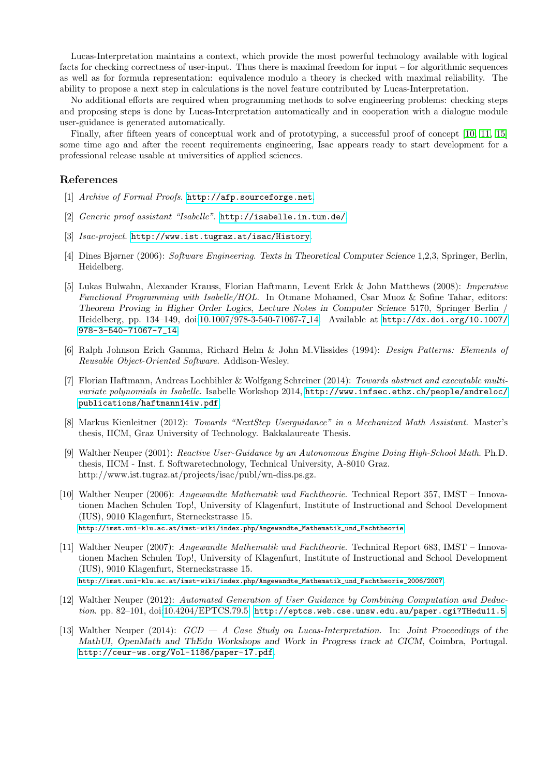Lucas-Interpretation maintains a context, which provide the most powerful technology available with logical facts for checking correctness of user-input. Thus there is maximal freedom for input – for algorithmic sequences as well as for formula representation: equivalence modulo a theory is checked with maximal reliability. The ability to propose a next step in calculations is the novel feature contributed by Lucas-Interpretation.

No additional efforts are required when programming methods to solve engineering problems: checking steps and proposing steps is done by Lucas-Interpretation automatically and in cooperation with a dialogue module user-guidance is generated automatically.

Finally, after fifteen years of conceptual work and of prototyping, a successful proof of concept [\[10,](#page-4-11) [11,](#page-4-12) [15\]](#page-5-4) some time ago and after the recent requirements engineering, Isac appears ready to start development for a professional release usable at universities of applied sciences.

#### References

- <span id="page-4-2"></span>[1] Archive of Formal Proofs. <http://afp.sourceforge.net>.
- <span id="page-4-1"></span>[2] Generic proof assistant "Isabelle". <http://isabelle.in.tum.de/>.
- <span id="page-4-0"></span>[3] Isac-project. <http://www.ist.tugraz.at/isac/History>.
- <span id="page-4-7"></span>[4] Dines Bjørner (2006): Software Engineering. Texts in Theoretical Computer Science 1,2,3, Springer, Berlin, Heidelberg.
- <span id="page-4-4"></span>[5] Lukas Bulwahn, Alexander Krauss, Florian Haftmann, Levent Erkk & John Matthews (2008): Imperative Functional Programming with Isabelle/HOL. In Otmane Mohamed, Csar Muoz & Sofine Tahar, editors: Theorem Proving in Higher Order Logics, Lecture Notes in Computer Science 5170, Springer Berlin / Heidelberg, pp. 134–149, doi[:10.1007/978-3-540-71067-7](http://dx.doi.org/10.1007/978-3-540-71067-7_14) 14. Available at [http://dx.doi.org/10.1007/](http://dx.doi.org/10.1007/978-3-540-71067-7_14) [978-3-540-71067-7\\_14](http://dx.doi.org/10.1007/978-3-540-71067-7_14).
- <span id="page-4-9"></span>[6] Ralph Johnson Erich Gamma, Richard Helm & John M.Vlissides (1994): Design Patterns: Elements of Reusable Object-Oriented Software. Addison-Wesley.
- <span id="page-4-5"></span>[7] Florian Haftmann, Andreas Lochbihler & Wolfgang Schreiner (2014): Towards abstract and executable multivariate polynomials in Isabelle. Isabelle Workshop 2014, [http://www.infsec.ethz.ch/people/andreloc/](http://www.infsec.ethz.ch/people/andreloc/publications/haftmann14iw.pdf) [publications/haftmann14iw.pdf](http://www.infsec.ethz.ch/people/andreloc/publications/haftmann14iw.pdf).
- <span id="page-4-10"></span>[8] Markus Kienleitner (2012): Towards "NextStep Userguidance" in a Mechanized Math Assistant. Master's thesis, IICM, Graz University of Technology. Bakkalaureate Thesis.
- <span id="page-4-8"></span>[9] Walther Neuper (2001): Reactive User-Guidance by an Autonomous Engine Doing High-School Math. Ph.D. thesis, IICM - Inst. f. Softwaretechnology, Technical University, A-8010 Graz. http://www.ist.tugraz.at/projects/isac/publ/wn-diss.ps.gz.
- <span id="page-4-11"></span>[10] Walther Neuper (2006): Angewandte Mathematik und Fachtheorie. Technical Report 357, IMST – Innovationen Machen Schulen Top!, University of Klagenfurt, Institute of Instructional and School Development (IUS), 9010 Klagenfurt, Sterneckstrasse 15. [http://imst.uni-klu.ac.at/imst-wiki/index.php/Angewandte\\_Mathematik\\_und\\_Fachtheorie](http://imst.uni-klu.ac.at/imst-wiki/index.php/Angewandte_Mathematik_und_Fachtheorie).
- <span id="page-4-12"></span>[11] Walther Neuper (2007): Angewandte Mathematik und Fachtheorie. Technical Report 683, IMST – Innovationen Machen Schulen Top!, University of Klagenfurt, Institute of Instructional and School Development (IUS), 9010 Klagenfurt, Sterneckstrasse 15. [http://imst.uni-klu.ac.at/imst-wiki/index.php/Angewandte\\_Mathematik\\_und\\_Fachtheorie\\_2006/2007](http://imst.uni-klu.ac.at/imst-wiki/index.php/Angewandte_Mathematik_und_Fachtheorie_2006/2007).
- <span id="page-4-3"></span>[12] Walther Neuper (2012): Automated Generation of User Guidance by Combining Computation and Deduc-tion. pp. 82-101, doi[:10.4204/EPTCS.79.5.](http://dx.doi.org/10.4204/EPTCS.79.5) <http://eptcs.web.cse.unsw.edu.au/paper.cgi?THedu11.5>.
- <span id="page-4-6"></span>[13] Walther Neuper (2014): GCD — A Case Study on Lucas-Interpretation. In: Joint Proceedings of the MathUI, OpenMath and ThEdu Workshops and Work in Progress track at CICM, Coimbra, Portugal. <http://ceur-ws.org/Vol-1186/paper-17.pdf>.